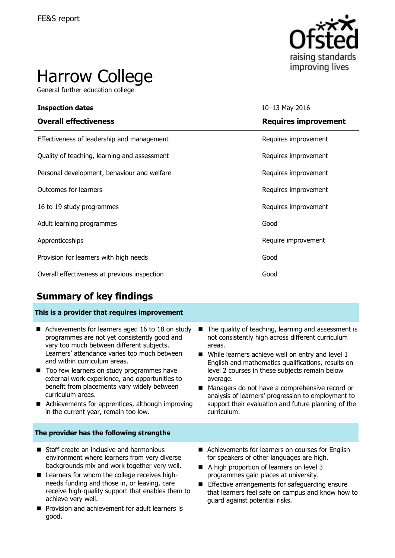

# Harrow College

General further education college

| <b>Inspection dates</b>                      | 10-13 May 2016              |
|----------------------------------------------|-----------------------------|
| <b>Overall effectiveness</b>                 | <b>Requires improvement</b> |
| Effectiveness of leadership and management   | Requires improvement        |
| Quality of teaching, learning and assessment | Requires improvement        |
| Personal development, behaviour and welfare  | Requires improvement        |
| <b>Outcomes for learners</b>                 | Requires improvement        |
| 16 to 19 study programmes                    | Requires improvement        |
| Adult learning programmes                    | Good                        |
| Apprenticeships                              | Require improvement         |
| Provision for learners with high needs       | Good                        |
| Overall effectiveness at previous inspection | Good                        |

# **Summary of key findings**

### **This is a provider that requires improvement**

- Achievements for learners aged 16 to 18 on study programmes are not yet consistently good and vary too much between different subjects. Learners' attendance varies too much between and within curriculum areas.
- Too few learners on study programmes have external work experience, and opportunities to benefit from placements vary widely between curriculum areas.
- Achievements for apprentices, although improving in the current year, remain too low.
- The quality of teaching, learning and assessment is not consistently high across different curriculum areas.
- $\blacksquare$  While learners achieve well on entry and level 1 English and mathematics qualifications, results on level 2 courses in these subjects remain below average.
- Managers do not have a comprehensive record or analysis of learners' progression to employment to support their evaluation and future planning of the curriculum.

### **The provider has the following strengths**

- Staff create an inclusive and harmonious environment where learners from very diverse backgrounds mix and work together very well.
- Learners for whom the college receives highneeds funding and those in, or leaving, care receive high-quality support that enables them to achieve very well.
- **Provision and achievement for adult learners is** good.
- Achievements for learners on courses for English for speakers of other languages are high.
- A high proportion of learners on level 3 programmes gain places at university.
- Effective arrangements for safeguarding ensure that learners feel safe on campus and know how to guard against potential risks.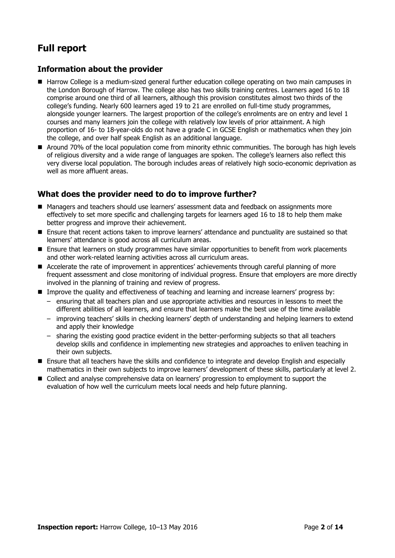# **Full report**

### **Information about the provider**

- Harrow College is a medium-sized general further education college operating on two main campuses in the London Borough of Harrow. The college also has two skills training centres. Learners aged 16 to 18 comprise around one third of all learners, although this provision constitutes almost two thirds of the college's funding. Nearly 600 learners aged 19 to 21 are enrolled on full-time study programmes, alongside younger learners. The largest proportion of the college's enrolments are on entry and level 1 courses and many learners join the college with relatively low levels of prior attainment. A high proportion of 16- to 18-year-olds do not have a grade C in GCSE English or mathematics when they join the college, and over half speak English as an additional language.
- Around 70% of the local population come from minority ethnic communities. The borough has high levels of religious diversity and a wide range of languages are spoken. The college's learners also reflect this very diverse local population. The borough includes areas of relatively high socio-economic deprivation as well as more affluent areas.

### **What does the provider need to do to improve further?**

- Managers and teachers should use learners' assessment data and feedback on assignments more effectively to set more specific and challenging targets for learners aged 16 to 18 to help them make better progress and improve their achievement.
- Ensure that recent actions taken to improve learners' attendance and punctuality are sustained so that learners' attendance is good across all curriculum areas.
- **E** Ensure that learners on study programmes have similar opportunities to benefit from work placements and other work-related learning activities across all curriculum areas.
- Accelerate the rate of improvement in apprentices' achievements through careful planning of more frequent assessment and close monitoring of individual progress. Ensure that employers are more directly involved in the planning of training and review of progress.
- Improve the quality and effectiveness of teaching and learning and increase learners' progress by:
	- ensuring that all teachers plan and use appropriate activities and resources in lessons to meet the different abilities of all learners, and ensure that learners make the best use of the time available
	- improving teachers' skills in checking learners' depth of understanding and helping learners to extend and apply their knowledge
	- sharing the existing good practice evident in the better-performing subjects so that all teachers develop skills and confidence in implementing new strategies and approaches to enliven teaching in their own subjects.
- Ensure that all teachers have the skills and confidence to integrate and develop English and especially mathematics in their own subjects to improve learners' development of these skills, particularly at level 2.
- Collect and analyse comprehensive data on learners' progression to employment to support the evaluation of how well the curriculum meets local needs and help future planning.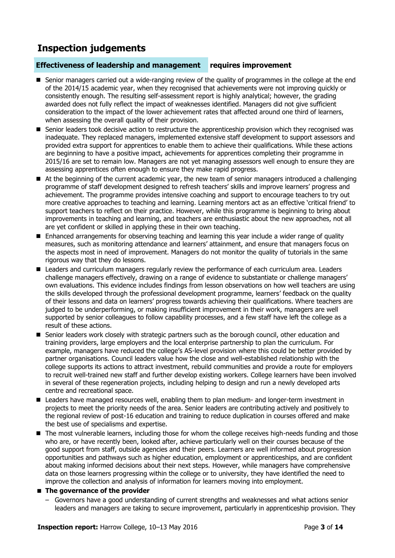# **Inspection judgements**

### **Effectiveness of leadership and management requires improvement**

- Senior managers carried out a wide-ranging review of the quality of programmes in the college at the end of the 2014/15 academic year, when they recognised that achievements were not improving quickly or consistently enough. The resulting self-assessment report is highly analytical; however, the grading awarded does not fully reflect the impact of weaknesses identified. Managers did not give sufficient consideration to the impact of the lower achievement rates that affected around one third of learners, when assessing the overall quality of their provision.
- Senior leaders took decisive action to restructure the apprenticeship provision which they recognised was inadequate. They replaced managers, implemented extensive staff development to support assessors and provided extra support for apprentices to enable them to achieve their qualifications. While these actions are beginning to have a positive impact, achievements for apprentices completing their programme in 2015/16 are set to remain low. Managers are not yet managing assessors well enough to ensure they are assessing apprentices often enough to ensure they make rapid progress.
- At the beginning of the current academic year, the new team of senior managers introduced a challenging programme of staff development designed to refresh teachers' skills and improve learners' progress and achievement. The programme provides intensive coaching and support to encourage teachers to try out more creative approaches to teaching and learning. Learning mentors act as an effective 'critical friend' to support teachers to reflect on their practice. However, while this programme is beginning to bring about improvements in teaching and learning, and teachers are enthusiastic about the new approaches, not all are yet confident or skilled in applying these in their own teaching.
- Enhanced arrangements for observing teaching and learning this year include a wider range of quality measures, such as monitoring attendance and learners' attainment, and ensure that managers focus on the aspects most in need of improvement. Managers do not monitor the quality of tutorials in the same rigorous way that they do lessons.
- **Leaders and curriculum managers regularly review the performance of each curriculum area. Leaders** challenge managers effectively, drawing on a range of evidence to substantiate or challenge managers' own evaluations. This evidence includes findings from lesson observations on how well teachers are using the skills developed through the professional development programme, learners' feedback on the quality of their lessons and data on learners' progress towards achieving their qualifications. Where teachers are judged to be underperforming, or making insufficient improvement in their work, managers are well supported by senior colleagues to follow capability processes, and a few staff have left the college as a result of these actions.
- Senior leaders work closely with strategic partners such as the borough council, other education and training providers, large employers and the local enterprise partnership to plan the curriculum. For example, managers have reduced the college's AS-level provision where this could be better provided by partner organisations. Council leaders value how the close and well-established relationship with the college supports its actions to attract investment, rebuild communities and provide a route for employers to recruit well-trained new staff and further develop existing workers. College learners have been involved in several of these regeneration projects, including helping to design and run a newly developed arts centre and recreational space.
- Leaders have managed resources well, enabling them to plan medium- and longer-term investment in projects to meet the priority needs of the area. Senior leaders are contributing actively and positively to the regional review of post-16 education and training to reduce duplication in courses offered and make the best use of specialisms and expertise.
- The most vulnerable learners, including those for whom the college receives high-needs funding and those who are, or have recently been, looked after, achieve particularly well on their courses because of the good support from staff, outside agencies and their peers. Learners are well informed about progression opportunities and pathways such as higher education, employment or apprenticeships, and are confident about making informed decisions about their next steps. However, while managers have comprehensive data on those learners progressing within the college or to university, they have identified the need to improve the collection and analysis of information for learners moving into employment.

### **The governance of the provider**

– Governors have a good understanding of current strengths and weaknesses and what actions senior leaders and managers are taking to secure improvement, particularly in apprenticeship provision. They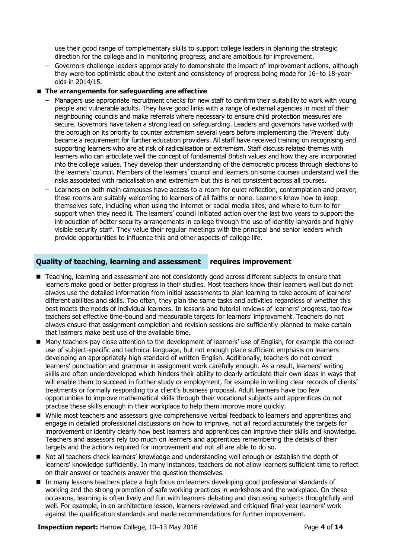use their good range of complementary skills to support college leaders in planning the strategic direction for the college and in monitoring progress, and are ambitious for improvement.

– Governors challenge leaders appropriately to demonstrate the impact of improvement actions, although they were too optimistic about the extent and consistency of progress being made for 16- to 18-yearolds in 2014/15.

### **The arrangements for safeguarding are effective**

- Managers use appropriate recruitment checks for new staff to confirm their suitability to work with young people and vulnerable adults. They have good links with a range of external agencies in most of their neighbouring councils and make referrals where necessary to ensure child protection measures are secure. Governors have taken a strong lead on safeguarding. Leaders and governors have worked with the borough on its priority to counter extremism several years before implementing the 'Prevent' duty became a requirement for further education providers. All staff have received training on recognising and supporting learners who are at risk of radicalisation or extremism. Staff discuss related themes with learners who can articulate well the concept of fundamental British values and how they are incorporated into the college values. They develop their understanding of the democratic process through elections to the learners' council. Members of the learners' council and learners on some courses understand well the risks associated with radicalisation and extremism but this is not consistent across all courses.
- Learners on both main campuses have access to a room for quiet reflection, contemplation and prayer; these rooms are suitably welcoming to learners of all faiths or none. Learners know how to keep themselves safe, including when using the internet or social media sites, and where to turn to for support when they need it. The learners' council initiated action over the last two years to support the introduction of better security arrangements in college through the use of identity lanyards and highly visible security staff. They value their regular meetings with the principal and senior leaders which provide opportunities to influence this and other aspects of college life.

### **Quality of teaching, learning and assessment requires improvement**

- Teaching, learning and assessment are not consistently good across different subjects to ensure that learners make good or better progress in their studies. Most teachers know their learners well but do not always use the detailed information from initial assessments to plan learning to take account of learners' different abilities and skills. Too often, they plan the same tasks and activities regardless of whether this best meets the needs of individual learners. In lessons and tutorial reviews of learners' progress, too few teachers set effective time-bound and measurable targets for learners' improvement. Teachers do not always ensure that assignment completion and revision sessions are sufficiently planned to make certain that learners make best use of the available time.
- Many teachers pay close attention to the development of learners' use of English, for example the correct use of subject-specific and technical language, but not enough place sufficient emphasis on learners developing an appropriately high standard of written English. Additionally, teachers do not correct learners' punctuation and grammar in assignment work carefully enough. As a result, learners' writing skills are often underdeveloped which hinders their ability to clearly articulate their own ideas in ways that will enable them to succeed in further study or employment, for example in writing clear records of clients' treatments or formally responding to a client's business proposal. Adult learners have too few opportunities to improve mathematical skills through their vocational subjects and apprentices do not practise these skills enough in their workplace to help them improve more quickly.
- While most teachers and assessors give comprehensive verbal feedback to learners and apprentices and engage in detailed professional discussions on how to improve, not all record accurately the targets for improvement or identify clearly how best learners and apprentices can improve their skills and knowledge. Teachers and assessors rely too much on learners and apprentices remembering the details of their targets and the actions required for improvement and not all are able to do so.
- Not all teachers check learners' knowledge and understanding well enough or establish the depth of learners' knowledge sufficiently. In many instances, teachers do not allow learners sufficient time to reflect on their answer or teachers answer the question themselves.
- In many lessons teachers place a high focus on learners developing good professional standards of working and the strong promotion of safe working practices in workshops and the workplace. On these occasions, learning is often lively and fun with learners debating and discussing subjects thoughtfully and well. For example, in an architecture lesson, learners reviewed and critiqued final-year learners' work against the qualification standards and made recommendations for further improvement.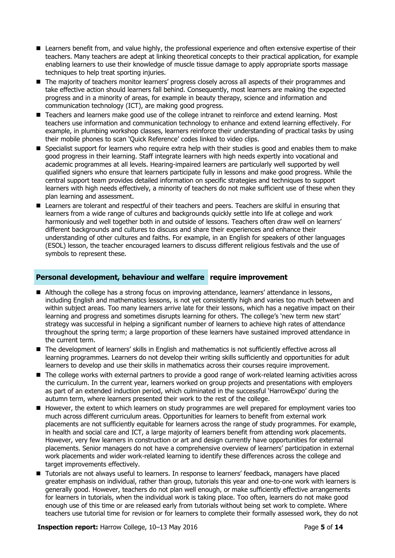- Learners benefit from, and value highly, the professional experience and often extensive expertise of their teachers. Many teachers are adept at linking theoretical concepts to their practical application, for example enabling learners to use their knowledge of muscle tissue damage to apply appropriate sports massage techniques to help treat sporting injuries.
- The majority of teachers monitor learners' progress closely across all aspects of their programmes and take effective action should learners fall behind. Consequently, most learners are making the expected progress and in a minority of areas, for example in beauty therapy, science and information and communication technology (ICT), are making good progress.
- Teachers and learners make good use of the college intranet to reinforce and extend learning. Most teachers use information and communication technology to enhance and extend learning effectively. For example, in plumbing workshop classes, learners reinforce their understanding of practical tasks by using their mobile phones to scan 'Quick Reference' codes linked to video clips.
- Specialist support for learners who require extra help with their studies is good and enables them to make good progress in their learning. Staff integrate learners with high needs expertly into vocational and academic programmes at all levels. Hearing-impaired learners are particularly well supported by well qualified signers who ensure that learners participate fully in lessons and make good progress. While the central support team provides detailed information on specific strategies and techniques to support learners with high needs effectively, a minority of teachers do not make sufficient use of these when they plan learning and assessment.
- **E** Learners are tolerant and respectful of their teachers and peers. Teachers are skilful in ensuring that learners from a wide range of cultures and backgrounds quickly settle into life at college and work harmoniously and well together both in and outside of lessons. Teachers often draw well on learners' different backgrounds and cultures to discuss and share their experiences and enhance their understanding of other cultures and faiths. For example, in an English for speakers of other languages (ESOL) lesson, the teacher encouraged learners to discuss different religious festivals and the use of symbols to represent these.

### **Personal development, behaviour and welfare require improvement**

- Although the college has a strong focus on improving attendance, learners' attendance in lessons, including English and mathematics lessons, is not yet consistently high and varies too much between and within subject areas. Too many learners arrive late for their lessons, which has a negative impact on their learning and progress and sometimes disrupts learning for others. The college's 'new term new start' strategy was successful in helping a significant number of learners to achieve high rates of attendance throughout the spring term; a large proportion of these learners have sustained improved attendance in the current term.
- The development of learners' skills in English and mathematics is not sufficiently effective across all learning programmes. Learners do not develop their writing skills sufficiently and opportunities for adult learners to develop and use their skills in mathematics across their courses require improvement.
- The college works with external partners to provide a good range of work-related learning activities across the curriculum. In the current year, learners worked on group projects and presentations with employers as part of an extended induction period, which culminated in the successful 'HarrowExpo' during the autumn term, where learners presented their work to the rest of the college.
- However, the extent to which learners on study programmes are well prepared for employment varies too much across different curriculum areas. Opportunities for learners to benefit from external work placements are not sufficiently equitable for learners across the range of study programmes. For example, in health and social care and ICT, a large majority of learners benefit from attending work placements. However, very few learners in construction or art and design currently have opportunities for external placements. Senior managers do not have a comprehensive overview of learners' participation in external work placements and wider work-related learning to identify these differences across the college and target improvements effectively.
- **T** Tutorials are not always useful to learners. In response to learners' feedback, managers have placed greater emphasis on individual, rather than group, tutorials this year and one-to-one work with learners is generally good. However, teachers do not plan well enough, or make sufficiently effective arrangements for learners in tutorials, when the individual work is taking place. Too often, learners do not make good enough use of this time or are released early from tutorials without being set work to complete. Where teachers use tutorial time for revision or for learners to complete their formally assessed work, they do not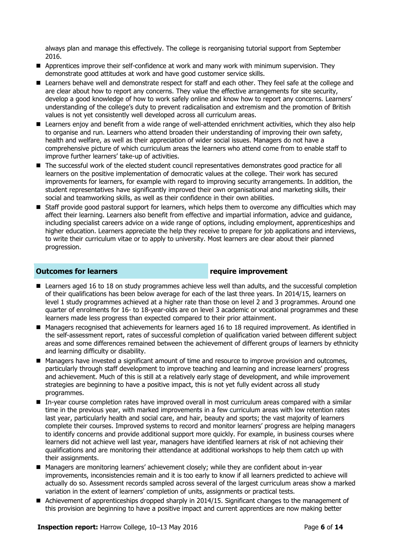always plan and manage this effectively. The college is reorganising tutorial support from September 2016.

- **Apprentices improve their self-confidence at work and many work with minimum supervision. They** demonstrate good attitudes at work and have good customer service skills.
- E Learners behave well and demonstrate respect for staff and each other. They feel safe at the college and are clear about how to report any concerns. They value the effective arrangements for site security, develop a good knowledge of how to work safely online and know how to report any concerns. Learners' understanding of the college's duty to prevent radicalisation and extremism and the promotion of British values is not yet consistently well developed across all curriculum areas.
- Learners enjoy and benefit from a wide range of well-attended enrichment activities, which they also help to organise and run. Learners who attend broaden their understanding of improving their own safety, health and welfare, as well as their appreciation of wider social issues. Managers do not have a comprehensive picture of which curriculum areas the learners who attend come from to enable staff to improve further learners' take-up of activities.
- The successful work of the elected student council representatives demonstrates good practice for all learners on the positive implementation of democratic values at the college. Their work has secured improvements for learners, for example with regard to improving security arrangements. In addition, the student representatives have significantly improved their own organisational and marketing skills, their social and teamworking skills, as well as their confidence in their own abilities.
- Staff provide good pastoral support for learners, which helps them to overcome any difficulties which may affect their learning. Learners also benefit from effective and impartial information, advice and guidance, including specialist careers advice on a wide range of options, including employment, apprenticeships and higher education. Learners appreciate the help they receive to prepare for job applications and interviews, to write their curriculum vitae or to apply to university. Most learners are clear about their planned progression.

### **Outcomes for learners require improvement**

- **E** Learners aged 16 to 18 on study programmes achieve less well than adults, and the successful completion of their qualifications has been below average for each of the last three years. In 2014/15, learners on level 1 study programmes achieved at a higher rate than those on level 2 and 3 programmes. Around one quarter of enrolments for 16- to 18-year-olds are on level 3 academic or vocational programmes and these learners made less progress than expected compared to their prior attainment.
- Managers recognised that achievements for learners aged 16 to 18 required improvement. As identified in the self-assessment report, rates of successful completion of qualification varied between different subject areas and some differences remained between the achievement of different groups of learners by ethnicity and learning difficulty or disability.
- Managers have invested a significant amount of time and resource to improve provision and outcomes, particularly through staff development to improve teaching and learning and increase learners' progress and achievement. Much of this is still at a relatively early stage of development, and while improvement strategies are beginning to have a positive impact, this is not yet fully evident across all study programmes.
- In-year course completion rates have improved overall in most curriculum areas compared with a similar time in the previous year, with marked improvements in a few curriculum areas with low retention rates last year, particularly health and social care, and hair, beauty and sports; the vast majority of learners complete their courses. Improved systems to record and monitor learners' progress are helping managers to identify concerns and provide additional support more quickly. For example, in business courses where learners did not achieve well last year, managers have identified learners at risk of not achieving their qualifications and are monitoring their attendance at additional workshops to help them catch up with their assignments.
- Managers are monitoring learners' achievement closely; while they are confident about in-year improvements, inconsistencies remain and it is too early to know if all learners predicted to achieve will actually do so. Assessment records sampled across several of the largest curriculum areas show a marked variation in the extent of learners' completion of units, assignments or practical tests.
- Achievement of apprenticeships dropped sharply in 2014/15. Significant changes to the management of this provision are beginning to have a positive impact and current apprentices are now making better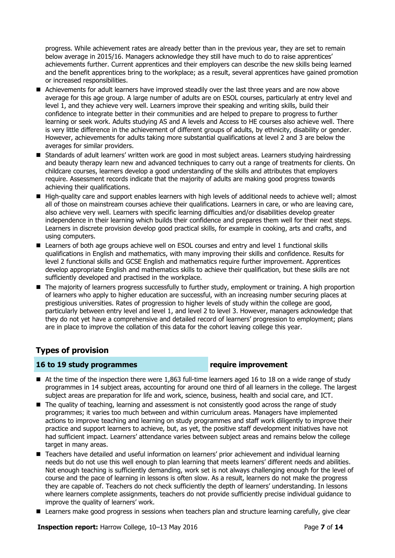progress. While achievement rates are already better than in the previous year, they are set to remain below average in 2015/16. Managers acknowledge they still have much to do to raise apprentices' achievements further. Current apprentices and their employers can describe the new skills being learned and the benefit apprentices bring to the workplace; as a result, several apprentices have gained promotion or increased responsibilities.

- Achievements for adult learners have improved steadily over the last three years and are now above average for this age group. A large number of adults are on ESOL courses, particularly at entry level and level 1, and they achieve very well. Learners improve their speaking and writing skills, build their confidence to integrate better in their communities and are helped to prepare to progress to further learning or seek work. Adults studying AS and A levels and Access to HE courses also achieve well. There is very little difference in the achievement of different groups of adults, by ethnicity, disability or gender. However, achievements for adults taking more substantial qualifications at level 2 and 3 are below the averages for similar providers.
- **Standards of adult learners' written work are good in most subject areas. Learners studying hairdressing** and beauty therapy learn new and advanced techniques to carry out a range of treatments for clients. On childcare courses, learners develop a good understanding of the skills and attributes that employers require. Assessment records indicate that the majority of adults are making good progress towards achieving their qualifications.
- High-quality care and support enables learners with high levels of additional needs to achieve well; almost all of those on mainstream courses achieve their qualifications. Learners in care, or who are leaving care, also achieve very well. Learners with specific learning difficulties and/or disabilities develop greater independence in their learning which builds their confidence and prepares them well for their next steps. Learners in discrete provision develop good practical skills, for example in cooking, arts and crafts, and using computers.
- Learners of both age groups achieve well on ESOL courses and entry and level 1 functional skills qualifications in English and mathematics, with many improving their skills and confidence. Results for level 2 functional skills and GCSE English and mathematics require further improvement. Apprentices develop appropriate English and mathematics skills to achieve their qualification, but these skills are not sufficiently developed and practised in the workplace.
- The majority of learners progress successfully to further study, employment or training. A high proportion of learners who apply to higher education are successful, with an increasing number securing places at prestigious universities. Rates of progression to higher levels of study within the college are good, particularly between entry level and level 1, and level 2 to level 3. However, managers acknowledge that they do not yet have a comprehensive and detailed record of learners' progression to employment; plans are in place to improve the collation of this data for the cohort leaving college this year.

### **Types of provision**

### **16 to 19 study programmes require improvement**

- $\blacksquare$  At the time of the inspection there were 1,863 full-time learners aged 16 to 18 on a wide range of study programmes in 14 subject areas, accounting for around one third of all learners in the college. The largest subject areas are preparation for life and work, science, business, health and social care, and ICT.
- The quality of teaching, learning and assessment is not consistently good across the range of study programmes; it varies too much between and within curriculum areas. Managers have implemented actions to improve teaching and learning on study programmes and staff work diligently to improve their practice and support learners to achieve, but, as yet, the positive staff development initiatives have not had sufficient impact. Learners' attendance varies between subject areas and remains below the college target in many areas.
- Teachers have detailed and useful information on learners' prior achievement and individual learning needs but do not use this well enough to plan learning that meets learners' different needs and abilities. Not enough teaching is sufficiently demanding, work set is not always challenging enough for the level of course and the pace of learning in lessons is often slow. As a result, learners do not make the progress they are capable of. Teachers do not check sufficiently the depth of learners' understanding. In lessons where learners complete assignments, teachers do not provide sufficiently precise individual guidance to improve the quality of learners' work.
- Learners make good progress in sessions when teachers plan and structure learning carefully, give clear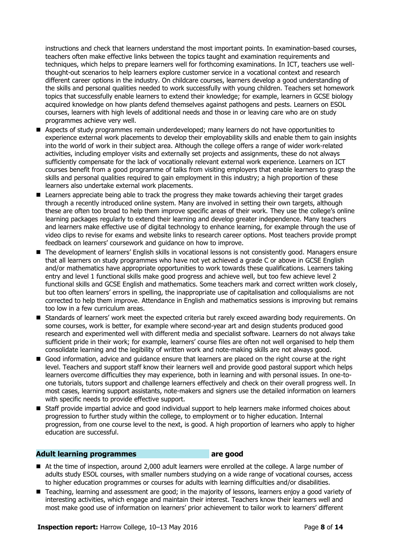instructions and check that learners understand the most important points. In examination-based courses, teachers often make effective links between the topics taught and examination requirements and techniques, which helps to prepare learners well for forthcoming examinations. In ICT, teachers use wellthought-out scenarios to help learners explore customer service in a vocational context and research different career options in the industry. On childcare courses, learners develop a good understanding of the skills and personal qualities needed to work successfully with young children. Teachers set homework topics that successfully enable learners to extend their knowledge; for example, learners in GCSE biology acquired knowledge on how plants defend themselves against pathogens and pests. Learners on ESOL courses, learners with high levels of additional needs and those in or leaving care who are on study programmes achieve very well.

- Aspects of study programmes remain underdeveloped; many learners do not have opportunities to experience external work placements to develop their employability skills and enable them to gain insights into the world of work in their subject area. Although the college offers a range of wider work-related activities, including employer visits and externally set projects and assignments, these do not always sufficiently compensate for the lack of vocationally relevant external work experience. Learners on ICT courses benefit from a good programme of talks from visiting employers that enable learners to grasp the skills and personal qualities required to gain employment in this industry; a high proportion of these learners also undertake external work placements.
- **Learners appreciate being able to track the progress they make towards achieving their target grades** through a recently introduced online system. Many are involved in setting their own targets, although these are often too broad to help them improve specific areas of their work. They use the college's online learning packages regularly to extend their learning and develop greater independence. Many teachers and learners make effective use of digital technology to enhance learning, for example through the use of video clips to revise for exams and website links to research career options. Most teachers provide prompt feedback on learners' coursework and guidance on how to improve.
- The development of learners' English skills in vocational lessons is not consistently good. Managers ensure that all learners on study programmes who have not yet achieved a grade C or above in GCSE English and/or mathematics have appropriate opportunities to work towards these qualifications. Learners taking entry and level 1 functional skills make good progress and achieve well, but too few achieve level 2 functional skills and GCSE English and mathematics. Some teachers mark and correct written work closely, but too often learners' errors in spelling, the inappropriate use of capitalisation and colloquialisms are not corrected to help them improve. Attendance in English and mathematics sessions is improving but remains too low in a few curriculum areas.
- **Standards of learners' work meet the expected criteria but rarely exceed awarding body requirements. On** some courses, work is better, for example where second-year art and design students produced good research and experimented well with different media and specialist software. Learners do not always take sufficient pride in their work; for example, learners' course files are often not well organised to help them consolidate learning and the legibility of written work and note-making skills are not always good.
- Good information, advice and quidance ensure that learners are placed on the right course at the right level. Teachers and support staff know their learners well and provide good pastoral support which helps learners overcome difficulties they may experience, both in learning and with personal issues. In one-toone tutorials, tutors support and challenge learners effectively and check on their overall progress well. In most cases, learning support assistants, note-makers and signers use the detailed information on learners with specific needs to provide effective support.
- Staff provide impartial advice and good individual support to help learners make informed choices about progression to further study within the college, to employment or to higher education. Internal progression, from one course level to the next, is good. A high proportion of learners who apply to higher education are successful.

### **Adult learning programmes are good**

- At the time of inspection, around 2,000 adult learners were enrolled at the college. A large number of adults study ESOL courses, with smaller numbers studying on a wide range of vocational courses, access to higher education programmes or courses for adults with learning difficulties and/or disabilities.
- Teaching, learning and assessment are good; in the majority of lessons, learners enjoy a good variety of interesting activities, which engage and maintain their interest. Teachers know their learners well and most make good use of information on learners' prior achievement to tailor work to learners' different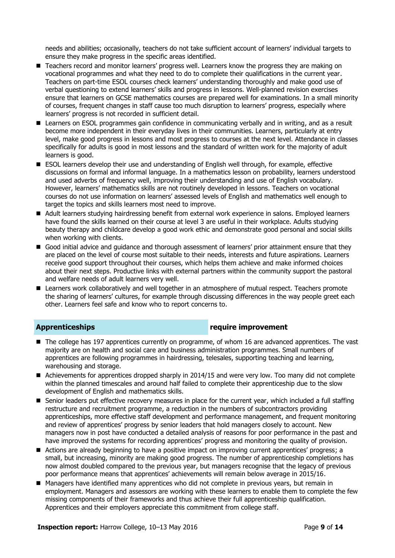needs and abilities; occasionally, teachers do not take sufficient account of learners' individual targets to ensure they make progress in the specific areas identified.

- **Teachers record and monitor learners' progress well. Learners know the progress they are making on** vocational programmes and what they need to do to complete their qualifications in the current year. Teachers on part-time ESOL courses check learners' understanding thoroughly and make good use of verbal questioning to extend learners' skills and progress in lessons. Well-planned revision exercises ensure that learners on GCSE mathematics courses are prepared well for examinations. In a small minority of courses, frequent changes in staff cause too much disruption to learners' progress, especially where learners' progress is not recorded in sufficient detail.
- Learners on ESOL programmes gain confidence in communicating verbally and in writing, and as a result become more independent in their everyday lives in their communities. Learners, particularly at entry level, make good progress in lessons and most progress to courses at the next level. Attendance in classes specifically for adults is good in most lessons and the standard of written work for the majority of adult learners is good.
- **ESOL learners develop their use and understanding of English well through, for example, effective** discussions on formal and informal language. In a mathematics lesson on probability, learners understood and used adverbs of frequency well, improving their understanding and use of English vocabulary. However, learners' mathematics skills are not routinely developed in lessons. Teachers on vocational courses do not use information on learners' assessed levels of English and mathematics well enough to target the topics and skills learners most need to improve.
- Adult learners studying hairdressing benefit from external work experience in salons. Employed learners have found the skills learned on their course at level 3 are useful in their workplace. Adults studying beauty therapy and childcare develop a good work ethic and demonstrate good personal and social skills when working with clients.
- Good initial advice and guidance and thorough assessment of learners' prior attainment ensure that they are placed on the level of course most suitable to their needs, interests and future aspirations. Learners receive good support throughout their courses, which helps them achieve and make informed choices about their next steps. Productive links with external partners within the community support the pastoral and welfare needs of adult learners very well.
- Learners work collaboratively and well together in an atmosphere of mutual respect. Teachers promote the sharing of learners' cultures, for example through discussing differences in the way people greet each other. Learners feel safe and know who to report concerns to.

### **Apprenticeships require improvement**

- The college has 197 apprentices currently on programme, of whom 16 are advanced apprentices. The vast majority are on health and social care and business administration programmes. Small numbers of apprentices are following programmes in hairdressing, telesales, supporting teaching and learning, warehousing and storage.
- Achievements for apprentices dropped sharply in 2014/15 and were very low. Too many did not complete within the planned timescales and around half failed to complete their apprenticeship due to the slow development of English and mathematics skills.
- Senior leaders put effective recovery measures in place for the current year, which included a full staffing restructure and recruitment programme, a reduction in the numbers of subcontractors providing apprenticeships, more effective staff development and performance management, and frequent monitoring and review of apprentices' progress by senior leaders that hold managers closely to account. New managers now in post have conducted a detailed analysis of reasons for poor performance in the past and have improved the systems for recording apprentices' progress and monitoring the quality of provision.
- Actions are already beginning to have a positive impact on improving current apprentices' progress; a small, but increasing, minority are making good progress. The number of apprenticeship completions has now almost doubled compared to the previous year, but managers recognise that the legacy of previous poor performance means that apprentices' achievements will remain below average in 2015/16.
- Managers have identified many apprentices who did not complete in previous years, but remain in employment. Managers and assessors are working with these learners to enable them to complete the few missing components of their frameworks and thus achieve their full apprenticeship qualification. Apprentices and their employers appreciate this commitment from college staff.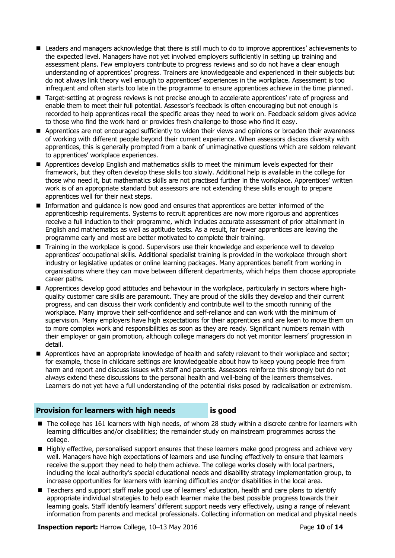- Leaders and managers acknowledge that there is still much to do to improve apprentices' achievements to the expected level. Managers have not yet involved employers sufficiently in setting up training and assessment plans. Few employers contribute to progress reviews and so do not have a clear enough understanding of apprentices' progress. Trainers are knowledgeable and experienced in their subjects but do not always link theory well enough to apprentices' experiences in the workplace. Assessment is too infrequent and often starts too late in the programme to ensure apprentices achieve in the time planned.
- Target-setting at progress reviews is not precise enough to accelerate apprentices' rate of progress and enable them to meet their full potential. Assessor's feedback is often encouraging but not enough is recorded to help apprentices recall the specific areas they need to work on. Feedback seldom gives advice to those who find the work hard or provides fresh challenge to those who find it easy.
- **Apprentices are not encouraged sufficiently to widen their views and opinions or broaden their awareness** of working with different people beyond their current experience. When assessors discuss diversity with apprentices, this is generally prompted from a bank of unimaginative questions which are seldom relevant to apprentices' workplace experiences.
- Apprentices develop English and mathematics skills to meet the minimum levels expected for their framework, but they often develop these skills too slowly. Additional help is available in the college for those who need it, but mathematics skills are not practised further in the workplace. Apprentices' written work is of an appropriate standard but assessors are not extending these skills enough to prepare apprentices well for their next steps.
- **Information and quidance is now good and ensures that apprentices are better informed of the** apprenticeship requirements. Systems to recruit apprentices are now more rigorous and apprentices receive a full induction to their programme, which includes accurate assessment of prior attainment in English and mathematics as well as aptitude tests. As a result, far fewer apprentices are leaving the programme early and most are better motivated to complete their training.
- Training in the workplace is good. Supervisors use their knowledge and experience well to develop apprentices' occupational skills. Additional specialist training is provided in the workplace through short industry or legislative updates or online learning packages. Many apprentices benefit from working in organisations where they can move between different departments, which helps them choose appropriate career paths.
- Apprentices develop good attitudes and behaviour in the workplace, particularly in sectors where highquality customer care skills are paramount. They are proud of the skills they develop and their current progress, and can discuss their work confidently and contribute well to the smooth running of the workplace. Many improve their self-confidence and self-reliance and can work with the minimum of supervision. Many employers have high expectations for their apprentices and are keen to move them on to more complex work and responsibilities as soon as they are ready. Significant numbers remain with their employer or gain promotion, although college managers do not yet monitor learners' progression in detail.
- Apprentices have an appropriate knowledge of health and safety relevant to their workplace and sector; for example, those in childcare settings are knowledgeable about how to keep young people free from harm and report and discuss issues with staff and parents. Assessors reinforce this strongly but do not always extend these discussions to the personal health and well-being of the learners themselves. Learners do not yet have a full understanding of the potential risks posed by radicalisation or extremism.

### **Provision for learners with high needs is good**

- The college has 161 learners with high needs, of whom 28 study within a discrete centre for learners with learning difficulties and/or disabilities; the remainder study on mainstream programmes across the college.
- Highly effective, personalised support ensures that these learners make good progress and achieve very well. Managers have high expectations of learners and use funding effectively to ensure that learners receive the support they need to help them achieve. The college works closely with local partners, including the local authority's special educational needs and disability strategy implementation group, to increase opportunities for learners with learning difficulties and/or disabilities in the local area.
- Teachers and support staff make good use of learners' education, health and care plans to identify appropriate individual strategies to help each learner make the best possible progress towards their learning goals. Staff identify learners' different support needs very effectively, using a range of relevant information from parents and medical professionals. Collecting information on medical and physical needs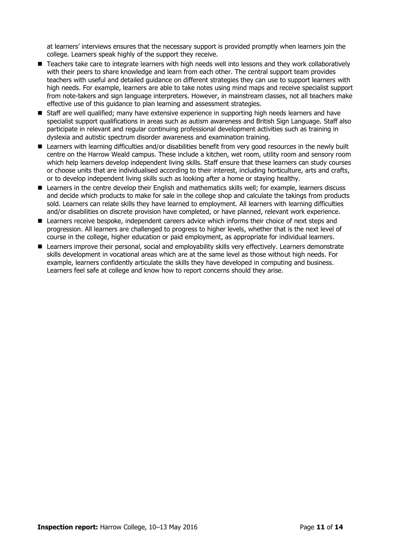at learners' interviews ensures that the necessary support is provided promptly when learners join the college. Learners speak highly of the support they receive.

- Teachers take care to integrate learners with high needs well into lessons and they work collaboratively with their peers to share knowledge and learn from each other. The central support team provides teachers with useful and detailed guidance on different strategies they can use to support learners with high needs. For example, learners are able to take notes using mind maps and receive specialist support from note-takers and sign language interpreters. However, in mainstream classes, not all teachers make effective use of this guidance to plan learning and assessment strategies.
- **Staff are well qualified; many have extensive experience in supporting high needs learners and have** specialist support qualifications in areas such as autism awareness and British Sign Language. Staff also participate in relevant and regular continuing professional development activities such as training in dyslexia and autistic spectrum disorder awareness and examination training.
- **Learners with learning difficulties and/or disabilities benefit from very good resources in the newly built** centre on the Harrow Weald campus. These include a kitchen, wet room, utility room and sensory room which help learners develop independent living skills. Staff ensure that these learners can study courses or choose units that are individualised according to their interest, including horticulture, arts and crafts, or to develop independent living skills such as looking after a home or staying healthy.
- Learners in the centre develop their English and mathematics skills well; for example, learners discuss and decide which products to make for sale in the college shop and calculate the takings from products sold. Learners can relate skills they have learned to employment. All learners with learning difficulties and/or disabilities on discrete provision have completed, or have planned, relevant work experience.
- Learners receive bespoke, independent careers advice which informs their choice of next steps and progression. All learners are challenged to progress to higher levels, whether that is the next level of course in the college, higher education or paid employment, as appropriate for individual learners.
- **Learners improve their personal, social and employability skills very effectively. Learners demonstrate** skills development in vocational areas which are at the same level as those without high needs. For example, learners confidently articulate the skills they have developed in computing and business. Learners feel safe at college and know how to report concerns should they arise.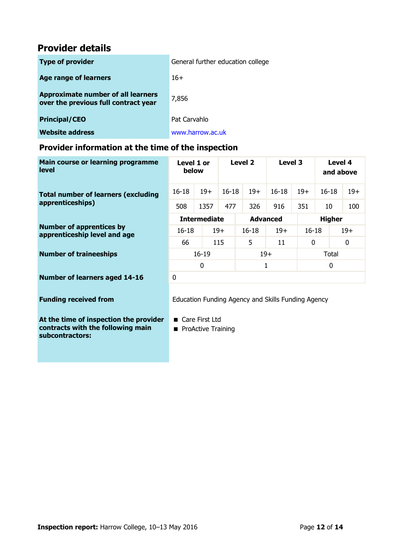## **Provider details**

| <b>Type of provider</b>                                                           | General further education college |
|-----------------------------------------------------------------------------------|-----------------------------------|
| <b>Age range of learners</b>                                                      | $16+$                             |
| <b>Approximate number of all learners</b><br>over the previous full contract year | 7,856                             |
| <b>Principal/CEO</b>                                                              | Pat Carvahlo                      |
| <b>Website address</b>                                                            | www.harrow.ac.uk                  |

### **Provider information at the time of the inspection**

| Main course or learning programme<br><b>level</b>               | Level 1 or<br>below |       |           | Level 2         |       | Level 3       |           | Level 4<br>and above |       |
|-----------------------------------------------------------------|---------------------|-------|-----------|-----------------|-------|---------------|-----------|----------------------|-------|
| <b>Total number of learners (excluding</b><br>apprenticeships)  | $16 - 18$           | $19+$ | $16 - 18$ |                 | $19+$ | $16-18$       | $19+$     | $16 - 18$            | $19+$ |
|                                                                 | 508                 | 1357  | 477       |                 | 326   | 916           | 351       | 10                   | 100   |
| <b>Number of apprentices by</b><br>apprenticeship level and age | <b>Intermediate</b> |       |           | <b>Advanced</b> |       | <b>Higher</b> |           |                      |       |
|                                                                 | $16 - 18$           |       | $19+$     | $16 - 18$       |       | $19+$         | $16 - 18$ |                      | $19+$ |
|                                                                 | 66                  |       | 115       | 5               |       | 11            | 0         |                      | 0     |
| <b>Number of traineeships</b>                                   | $16 - 19$           |       | $19+$     |                 |       | Total         |           |                      |       |
|                                                                 | 0                   |       |           | 1               |       | $\mathbf{0}$  |           |                      |       |
| <b>Number of learners aged 14-16</b>                            | 0                   |       |           |                 |       |               |           |                      |       |
|                                                                 |                     |       |           |                 |       |               |           |                      |       |

**At the time of inspection the provider contracts with the following main subcontractors:**

**Funding received from** Education Funding Agency and Skills Funding Agency

■ Care First Ltd

**ProActive Training**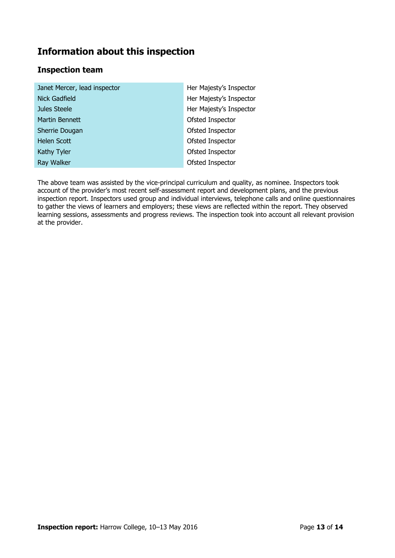# **Information about this inspection**

### **Inspection team**

| Janet Mercer, lead inspector | Her Majesty's Inspector |
|------------------------------|-------------------------|
| Nick Gadfield                | Her Majesty's Inspector |
| Jules Steele                 | Her Majesty's Inspector |
| Martin Bennett               | Ofsted Inspector        |
| Sherrie Dougan               | Ofsted Inspector        |
| Helen Scott                  | Ofsted Inspector        |
| Kathy Tyler                  | Ofsted Inspector        |
| Ray Walker                   | Ofsted Inspector        |

The above team was assisted by the vice-principal curriculum and quality, as nominee. Inspectors took account of the provider's most recent self-assessment report and development plans, and the previous inspection report. Inspectors used group and individual interviews, telephone calls and online questionnaires to gather the views of learners and employers; these views are reflected within the report. They observed learning sessions, assessments and progress reviews. The inspection took into account all relevant provision at the provider.